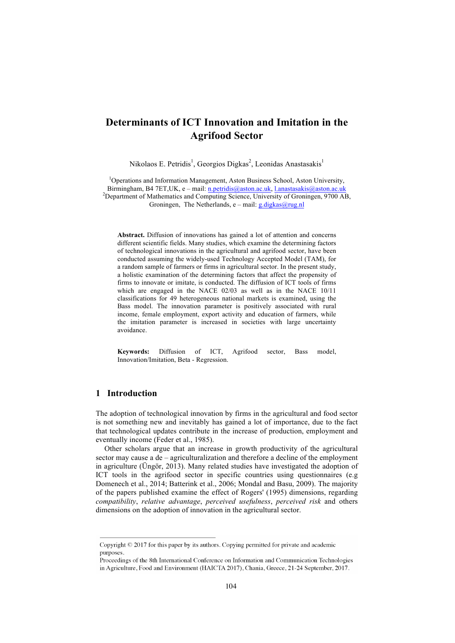# **Determinants of ICT Innovation and Imitation in the Agrifood Sector**

Nikolaos E. Petridis<sup>1</sup>, Georgios Digkas<sup>2</sup>, Leonidas Anastasakis<sup>1</sup>

<sup>1</sup>Operations and Information Management, Aston Business School, Aston University, Birmingham, B4 7ET,UK, e – mail: n.petridis@aston.ac.uk, l.anastasakis@aston.ac.uk <sup>2</sup> <sup>2</sup>Department of Mathematics and Computing Science, University of Groningen, 9700 AB, Groningen, The Netherlands, e – mail: g.digkas@rug.nl

**Abstract.** Diffusion of innovations has gained a lot of attention and concerns different scientific fields. Many studies, which examine the determining factors of technological innovations in the agricultural and agrifood sector, have been conducted assuming the widely-used Technology Accepted Model (TAM), for a random sample of farmers or firms in agricultural sector. In the present study, a holistic examination of the determining factors that affect the propensity of firms to innovate or imitate, is conducted. The diffusion of ICT tools of firms which are engaged in the NACE 02/03 as well as in the NACE 10/11 classifications for 49 heterogeneous national markets is examined, using the Bass model. The innovation parameter is positively associated with rural income, female employment, export activity and education of farmers, while the imitation parameter is increased in societies with large uncertainty avoidance.

**Keywords:** Diffusion of ICT, Agrifood sector, Bass model, Innovation/Imitation, Beta - Regression.

### **1 Introduction**

The adoption of technological innovation by firms in the agricultural and food sector is not something new and inevitably has gained a lot of importance, due to the fact that technological updates contribute in the increase of production, employment and eventually income (Feder et al., 1985).

Other scholars argue that an increase in growth productivity of the agricultural sector may cause a de – agriculturalization and therefore a decline of the employment in agriculture (Üngör, 2013). Many related studies have investigated the adoption of ICT tools in the agrifood sector in specific countries using questionnaires (e.g Domenech et al., 2014; Batterink et al., 2006; Mondal and Basu, 2009). The majority of the papers published examine the effect of Rogers' (1995) dimensions, regarding *compatibility*, *relative advantage*, *perceived usefulness*, *perceived risk* and others dimensions on the adoption of innovation in the agricultural sector.

Copyright  $\odot$  2017 for this paper by its authors. Copying permitted for private and academic purposes.

Proceedings of the 8th International Conference on Information and Communication Technologies in Agriculture, Food and Environment (HAICTA 2017), Chania, Greece, 21-24 September, 2017.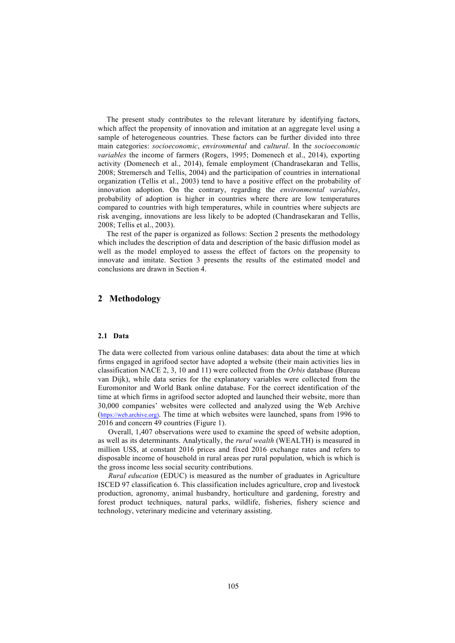The present study contributes to the relevant literature by identifying factors, which affect the propensity of innovation and imitation at an aggregate level using a sample of heterogeneous countries. These factors can be further divided into three main categories: *socioeconomic*, *environmental* and *cultural*. In the *socioeconomic variables* the income of farmers (Rogers, 1995; Domenech et al., 2014), exporting activity (Domenech et al., 2014), female employment (Chandrasekaran and Tellis, 2008; Stremersch and Tellis, 2004) and the participation of countries in international organization (Tellis et al., 2003) tend to have a positive effect on the probability of innovation adoption. On the contrary, regarding the *environmental variables*, probability of adoption is higher in countries where there are low temperatures compared to countries with high temperatures, while in countries where subjects are risk avenging, innovations are less likely to be adopted (Chandrasekaran and Tellis, 2008; Tellis et al., 2003).

The rest of the paper is organized as follows: Section 2 presents the methodology which includes the description of data and description of the basic diffusion model as well as the model employed to assess the effect of factors on the propensity to innovate and imitate. Section 3 presents the results of the estimated model and conclusions are drawn in Section 4.

### **2 Methodology**

#### **2.1 Data**

The data were collected from various online databases: data about the time at which firms engaged in agrifood sector have adopted a website (their main activities lies in classification NACE 2, 3, 10 and 11) were collected from the *Orbis* database (Bureau van Dijk), while data series for the explanatory variables were collected from the Euromonitor and World Bank online database. For the correct identification of the time at which firms in agrifood sector adopted and launched their website, more than 30,000 companies' websites were collected and analyzed using the Web Archive (https://web.archive.org). The time at which websites were launched, spans from 1996 to 2016 and concern 49 countries (Figure 1).

Overall, 1,407 observations were used to examine the speed of website adoption, as well as its determinants. Analytically, the *rural wealth* (WEALTH) is measured in million US\$, at constant 2016 prices and fixed 2016 exchange rates and refers to disposable income of household in rural areas per rural population, which is which is the gross income less social security contributions.

*Rural education* (EDUC) is measured as the number of graduates in Agriculture ISCED 97 classification 6. This classification includes agriculture, crop and livestock production, agronomy, animal husbandry, horticulture and gardening, forestry and forest product techniques, natural parks, wildlife, fisheries, fishery science and technology, veterinary medicine and veterinary assisting.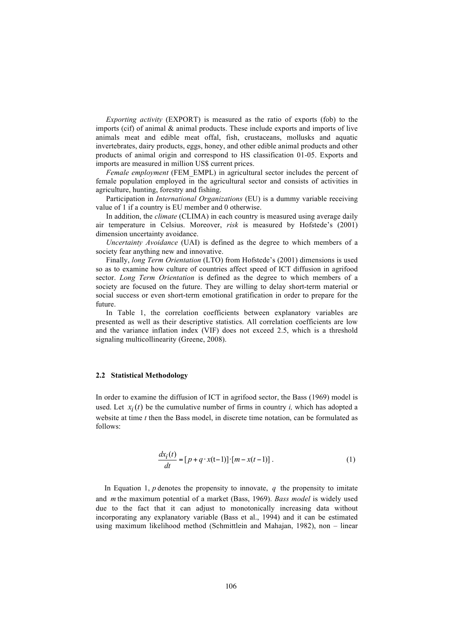*Exporting activity* (EXPORT) is measured as the ratio of exports (fob) to the imports (cif) of animal & animal products. These include exports and imports of live animals meat and edible meat offal, fish, crustaceans, mollusks and aquatic invertebrates, dairy products, eggs, honey, and other edible animal products and other products of animal origin and correspond to HS classification 01-05. Exports and imports are measured in million US\$ current prices.

*Female employment* (FEM\_EMPL) in agricultural sector includes the percent of female population employed in the agricultural sector and consists of activities in agriculture, hunting, forestry and fishing.

Participation in *International Organizations* (EU) is a dummy variable receiving value of 1 if a country is EU member and 0 otherwise.

In addition, the *climate* (CLIMA) in each country is measured using average daily air temperature in Celsius. Moreover, *risk* is measured by Hofstede's (2001) dimension uncertainty avoidance.

*Uncertainty Avoidance* (UAI) is defined as the degree to which members of a society fear anything new and innovative.

Finally, *long Term Orientation* (LTO) from Hofstede's (2001) dimensions is used so as to examine how culture of countries affect speed of ICT diffusion in agrifood sector. *Long Term Orientation* is defined as the degree to which members of a society are focused on the future. They are willing to delay short-term material or social success or even short-term emotional gratification in order to prepare for the future.

In Table 1, the correlation coefficients between explanatory variables are presented as well as their descriptive statistics. All correlation coefficients are low and the variance inflation index (VIF) does not exceed 2.5, which is a threshold signaling multicollinearity (Greene, 2008).

#### **2.2 Statistical Methodology**

In order to examine the diffusion of ICT in agrifood sector, the Bass (1969) model is used. Let  $x_i(t)$  be the cumulative number of firms in country *i*, which has adopted a website at time *t* then the Bass model, in discrete time notation, can be formulated as follows:

$$
\frac{dx_i(t)}{dt} = [p + q \cdot x(t-1)] \cdot [m - x(t-1)].
$$
\n(1)

In Equation 1,  $p$  denotes the propensity to innovate,  $q$  the propensity to imitate and *m* the maximum potential of a market (Bass, 1969). *Bass model* is widely used due to the fact that it can adjust to monotonically increasing data without incorporating any explanatory variable (Bass et al., 1994) and it can be estimated using maximum likelihood method (Schmittlein and Mahajan, 1982), non – linear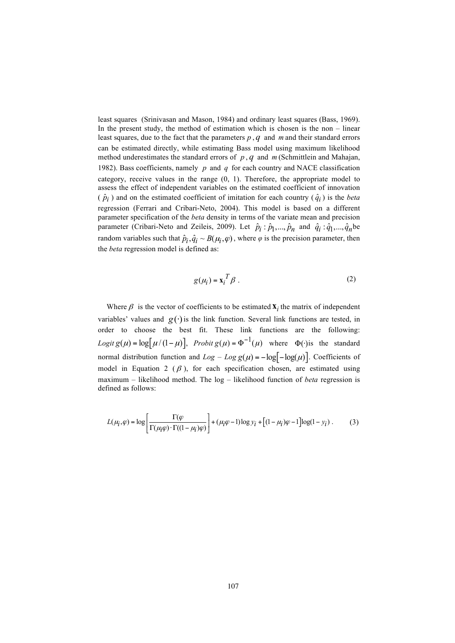least squares (Srinivasan and Mason, 1984) and ordinary least squares (Bass, 1969). In the present study, the method of estimation which is chosen is the non – linear least squares, due to the fact that the parameters *p* , *q* and *m* and their standard errors can be estimated directly, while estimating Bass model using maximum likelihood method underestimates the standard errors of *p* , *q* and *m* (Schmittlein and Mahajan, 1982). Bass coefficients, namely *p* and *q* for each country and NACE classification category, receive values in the range (0, 1). Therefore, the appropriate model to assess the effect of independent variables on the estimated coefficient of innovation  $(\hat{p}_i)$  and on the estimated coefficient of imitation for each country  $(\hat{q}_i)$  is the *beta* regression (Ferrari and Cribari-Neto, 2004). This model is based on a different parameter specification of the *beta* density in terms of the variate mean and precision parameter (Cribari-Neto and Zeileis, 2009). Let  $\hat{p}_i : \hat{p}_1, ..., \hat{p}_n$  and  $\hat{q}_i : \hat{q}_1, ..., \hat{q}_n$  be random variables such that  $\hat{p}_i, \hat{q}_i \sim B(\mu_i, \varphi)$ , where  $\varphi$  is the precision parameter, then the *beta* regression model is defined as:

$$
g(\mu_i) = \mathbf{x}_i^T \boldsymbol{\beta} \tag{2}
$$

Where  $\beta$  is the vector of coefficients to be estimated  $\mathbf{X}_i$  the matrix of independent variables' values and  $g(\cdot)$  is the link function. Several link functions are tested, in order to choose the best fit. These link functions are the following: *Logit*  $g(\mu) = \log[\mu/(1-\mu)]$ , *Probit*  $g(\mu) = \Phi^{-1}(\mu)$  where  $\Phi(\cdot)$  is the standard normal distribution function and  $Log - Log g(\mu) = -log[-log(\mu)]$ . Coefficients of model in Equation 2 ( $\beta$ ), for each specification chosen, are estimated using maximum – likelihood method. The log – likelihood function of *beta* regression is defined as follows:

$$
L(\mu_i, \varphi) = \log \left[ \frac{\Gamma(\varphi)}{\Gamma(\mu_i \varphi) \cdot \Gamma((1 - \mu_i)\varphi)} \right] + (\mu_i \varphi - 1) \log y_i + \left[ (1 - \mu_i) \varphi - 1 \right] \log(1 - y_i). \tag{3}
$$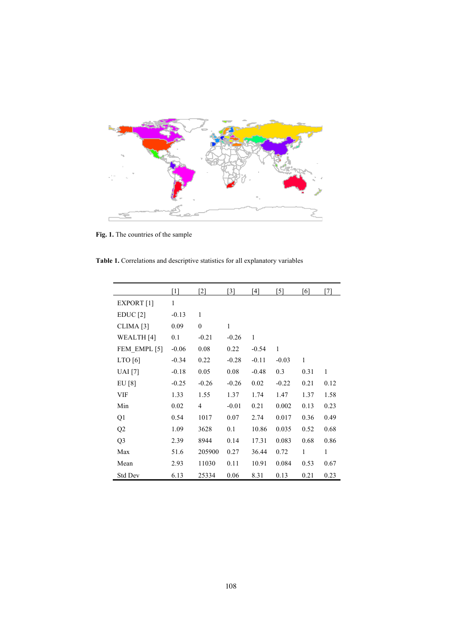

**Fig. 1.** The countries of the sample

**Table 1.** Correlations and descriptive statistics for all explanatory variables

|                       | [1]     | [2]              | [3]     | '4]     | [5]          | [6]          | [7]  |
|-----------------------|---------|------------------|---------|---------|--------------|--------------|------|
| EXPORT [1]            | 1       |                  |         |         |              |              |      |
| EDUC[2]               | $-0.13$ | 1                |         |         |              |              |      |
| CLIMA [3]             | 0.09    | $\boldsymbol{0}$ | 1       |         |              |              |      |
| WEALTH <sub>[4]</sub> | 0.1     | $-0.21$          | $-0.26$ | 1       |              |              |      |
| FEM EMPL [5]          | $-0.06$ | 0.08             | 0.22    | $-0.54$ | $\mathbf{1}$ |              |      |
| LTO[6]                | $-0.34$ | 0.22             | $-0.28$ | $-0.11$ | $-0.03$      | $\mathbf{1}$ |      |
| <b>UAI</b> [7]        | $-0.18$ | 0.05             | 0.08    | $-0.48$ | 0.3          | 0.31         | 1    |
| EU [8]                | $-0.25$ | $-0.26$          | $-0.26$ | 0.02    | $-0.22$      | 0.21         | 0.12 |
| VIF                   | 1.33    | 1.55             | 1.37    | 1.74    | 1.47         | 1.37         | 1.58 |
| Min                   | 0.02    | 4                | $-0.01$ | 0.21    | 0.002        | 0.13         | 0.23 |
| Q1                    | 0.54    | 1017             | 0.07    | 2.74    | 0.017        | 0.36         | 0.49 |
| Q2                    | 1.09    | 3628             | 0.1     | 10.86   | 0.035        | 0.52         | 0.68 |
| Q <sub>3</sub>        | 2.39    | 8944             | 0.14    | 17.31   | 0.083        | 0.68         | 0.86 |
| Max                   | 51.6    | 205900           | 0.27    | 36.44   | 0.72         | $\mathbf{1}$ | 1    |
| Mean                  | 2.93    | 11030            | 0.11    | 10.91   | 0.084        | 0.53         | 0.67 |
| <b>Std Dev</b>        | 6.13    | 25334            | 0.06    | 8.31    | 0.13         | 0.21         | 0.23 |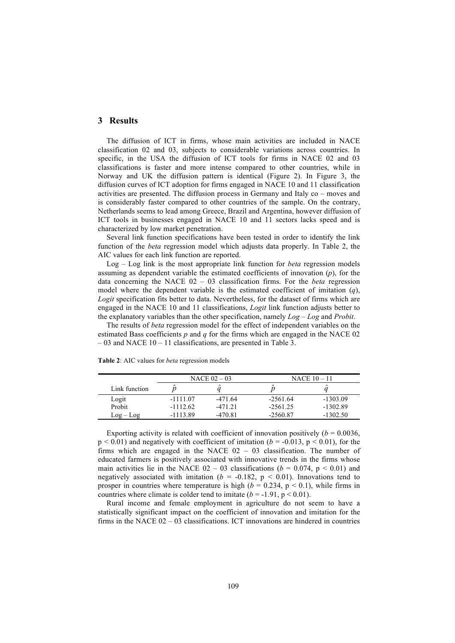## **3 Results**

The diffusion of ICT in firms, whose main activities are included in NACE classification 02 and 03, subjects to considerable variations across countries. In specific, in the USA the diffusion of ICT tools for firms in NACE 02 and 03 classifications is faster and more intense compared to other countries, while in Norway and UK the diffusion pattern is identical (Figure 2). In Figure 3, the diffusion curves of ICT adoption for firms engaged in NACE 10 and 11 classification activities are presented. The diffusion process in Germany and Italy co – moves and is considerably faster compared to other countries of the sample. On the contrary, Netherlands seems to lead among Greece, Brazil and Argentina, however diffusion of ICT tools in businesses engaged in NACE 10 and 11 sectors lacks speed and is characterized by low market penetration.

Several link function specifications have been tested in order to identify the link function of the *beta* regression model which adjusts data properly. In Table 2, the AIC values for each link function are reported.

Log – Log link is the most appropriate link function for *beta* regression models assuming as dependent variable the estimated coefficients of innovation (*p*), for the data concerning the NACE 02 – 03 classification firms. For the *beta* regression model where the dependent variable is the estimated coefficient of imitation (*q*), *Logit* specification fits better to data. Nevertheless, for the dataset of firms which are engaged in the NACE 10 and 11 classifications, *Logit* link function adjusts better to the explanatory variables than the other specification, namely *Log – Log* and *Probit*.

The results of *beta* regression model for the effect of independent variables on the estimated Bass coefficients *p* and *q* for the firms which are engaged in the NACE 02 – 03 and NACE 10 – 11 classifications, are presented in Table 3.

|               |            | NACE $02 - 03$       | NACE $10-11$         |                      |  |  |
|---------------|------------|----------------------|----------------------|----------------------|--|--|
| Link function |            | $\ddot{\phantom{0}}$ | $\ddot{\phantom{0}}$ | $\ddot{\phantom{0}}$ |  |  |
| Logit         | $-1111.07$ | $-471.64$            | $-2561.64$           | $-1303.09$           |  |  |
| Probit        | $-1112.62$ | $-47121$             | $-2561.25$           | $-1302.89$           |  |  |
| $Log - Log$   | $-1113.89$ | $-470.81$            | $-2560.87$           | $-1302.50$           |  |  |

**Table 2**: AIC values for *beta* regression models

Exporting activity is related with coefficient of innovation positively  $(b = 0.0036$ ,  $p < 0.01$ ) and negatively with coefficient of imitation ( $b = -0.013$ ,  $p < 0.01$ ), for the firms which are engaged in the NACE  $02 - 03$  classification. The number of educated farmers is positively associated with innovative trends in the firms whose main activities lie in the NACE  $02 - 03$  classifications ( $b = 0.074$ ,  $p < 0.01$ ) and negatively associated with imitation ( $b = -0.182$ ,  $p < 0.01$ ). Innovations tend to prosper in countries where temperature is high ( $b = 0.234$ ,  $p < 0.1$ ), while firms in countries where climate is colder tend to imitate  $(b = -1.91, p \le 0.01)$ .

Rural income and female employment in agriculture do not seem to have a statistically significant impact on the coefficient of innovation and imitation for the firms in the NACE  $02 - 03$  classifications. ICT innovations are hindered in countries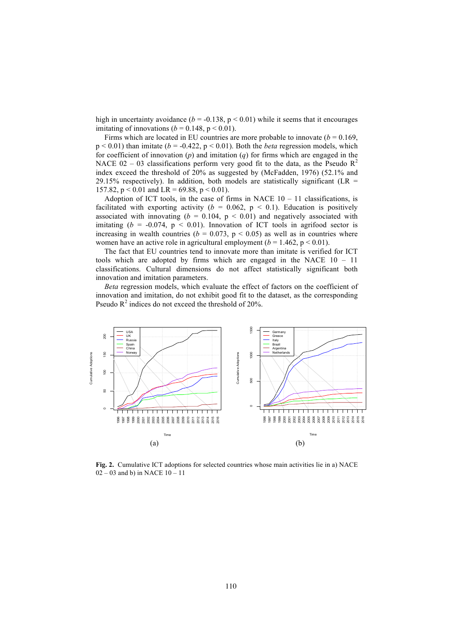high in uncertainty avoidance  $(b = -0.138, p < 0.01)$  while it seems that it encourages imitating of innovations ( $b = 0.148$ ,  $p < 0.01$ ).

Firms which are located in EU countries are more probable to innovate  $(b = 0.169)$ ,  $p < 0.01$ ) than imitate ( $b = -0.422$ ,  $p < 0.01$ ). Both the *beta* regression models, which for coefficient of innovation (*p*) and imitation (*q*) for firms which are engaged in the NACE 02 – 03 classifications perform very good fit to the data, as the Pseudo  $R^2$ index exceed the threshold of 20% as suggested by (McFadden, 1976) (52.1% and 29.15% respectively). In addition, both models are statistically significant (LR  $=$ 157.82,  $p < 0.01$  and LR = 69.88,  $p < 0.01$ ).

Adoption of ICT tools, in the case of firms in NACE  $10 - 11$  classifications, is facilitated with exporting activity ( $b = 0.062$ ,  $p < 0.1$ ). Education is positively associated with innovating  $(b = 0.104, p < 0.01)$  and negatively associated with imitating  $(b = -0.074, p < 0.01)$ . Innovation of ICT tools in agrifood sector is increasing in wealth countries ( $b = 0.073$ ,  $p < 0.05$ ) as well as in countries where women have an active role in agricultural employment  $(b = 1.462, p \le 0.01)$ .

The fact that EU countries tend to innovate more than imitate is verified for ICT tools which are adopted by firms which are engaged in the NACE 10 – 11 classifications. Cultural dimensions do not affect statistically significant both innovation and imitation parameters.

*Beta* regression models, which evaluate the effect of factors on the coefficient of innovation and imitation, do not exhibit good fit to the dataset, as the corresponding Pseudo  $R^2$  indices do not exceed the threshold of 20%.



**Fig. 2.** Cumulative ICT adoptions for selected countries whose main activities lie in a) NACE  $02 - 03$  and b) in NACE  $10 - 11$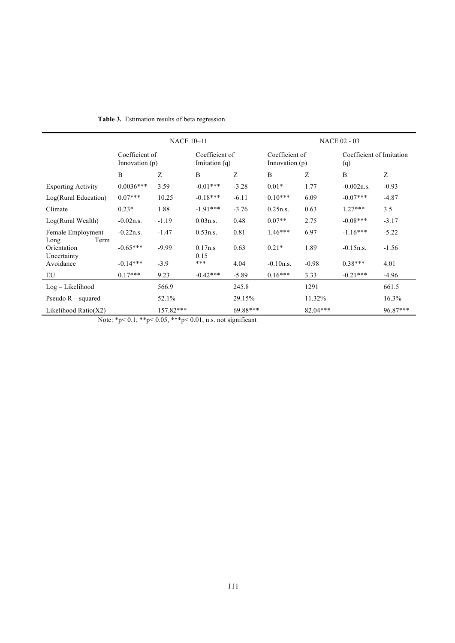|                                            | <b>NACE 10-11</b>                |           |                                   |          | <b>NACE 02 - 03</b>              |            |                                 |          |  |
|--------------------------------------------|----------------------------------|-----------|-----------------------------------|----------|----------------------------------|------------|---------------------------------|----------|--|
|                                            | Coefficient of<br>Innovation (p) |           | Coefficient of<br>Imitation $(q)$ |          | Coefficient of<br>Innovation (p) |            | Coefficient of Imitation<br>(q) |          |  |
|                                            | B                                | Z         | B                                 | Z        | B                                | Z          | B                               | Z        |  |
| <b>Exporting Activity</b>                  | $0.0036***$                      | 3.59      | $-0.01***$                        | $-3.28$  | $0.01*$                          | 1.77       | $-0.002n.s.$                    | $-0.93$  |  |
| Log(Rural Education)                       | $0.07***$                        | 10.25     | $-0.18***$                        | $-6.11$  | $0.10***$                        | 6.09       | $-0.07***$                      | $-4.87$  |  |
| Climate                                    | $0.23*$                          | 1.88      | $-1.91***$                        | $-3.76$  | 0.25n.s.                         | 0.63       | $1.27***$                       | 3.5      |  |
| Log(Rural Wealth)                          | $-0.02n.s.$                      | $-1.19$   | 0.03n.s.                          | 0.48     | $0.07**$                         | 2.75       | $-0.08***$                      | $-3.17$  |  |
| Female Employment                          | $-0.22n.s.$                      | $-1.47$   | 0.53n.s.                          | 0.81     | $1.46***$                        | 6.97       | $-1.16***$                      | $-5.22$  |  |
| Term<br>Long<br>Orientation<br>Uncertainty | $-0.65***$                       | $-9.99$   | 0.17n.s<br>0.15                   | 0.63     | $0.21*$                          | 1.89       | $-0.15n.s.$                     | $-1.56$  |  |
| Avoidance                                  | $-0.14***$                       | $-3.9$    | ***                               | 4.04     | $-0.10n.s.$                      | $-0.98$    | $0.38***$                       | 4.01     |  |
| EU                                         | $0.17***$                        | 9.23      | $-0.42***$                        | $-5.89$  | $0.16***$                        | 3.33       | $-0.21***$                      | $-4.96$  |  |
| $Log-Likelihood$                           |                                  | 566.9     |                                   | 245.8    |                                  | 1291       |                                 | 661.5    |  |
| Pseudo $R$ – squared                       |                                  | 52.1%     |                                   | 29.15%   |                                  | 11.32%     |                                 | 16.3%    |  |
| Likelihood Ratio $(X2)$                    |                                  | 157.82*** |                                   | 69.88*** |                                  | $82.04***$ |                                 | 96.87*** |  |

# **Table 3.** Estimation results of beta regression

Note: \*p< 0.1, \*\*p< 0.05, \*\*\*p< 0.01, n.s. not significant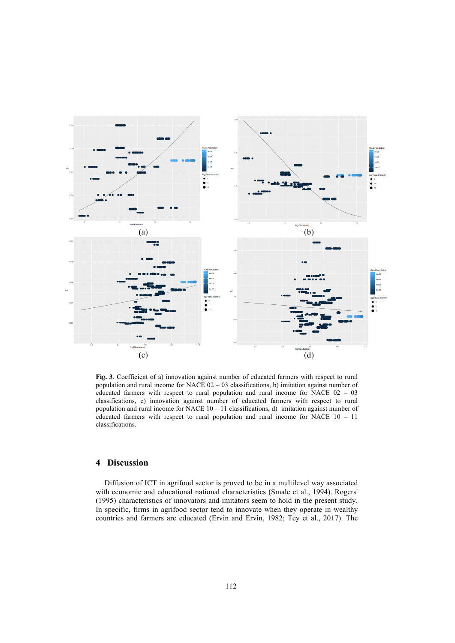

**Fig. 3**. Coefficient of a) innovation against number of educated farmers with respect to rural population and rural income for NACE 02 – 03 classifications, b) imitation against number of educated farmers with respect to rural population and rural income for NACE 02 – 03 classifications, c) innovation against number of educated farmers with respect to rural population and rural income for NACE  $10 - 11$  classifications, d) imitation against number of educated farmers with respect to rural population and rural income for NACE 10 – 11 classifications.

### **4 Discussion**

Diffusion of ICT in agrifood sector is proved to be in a multilevel way associated with economic and educational national characteristics (Smale et al., 1994). Rogers' (1995) characteristics of innovators and imitators seem to hold in the present study. In specific, firms in agrifood sector tend to innovate when they operate in wealthy countries and farmers are educated (Ervin and Ervin, 1982; Tey et al., 2017). The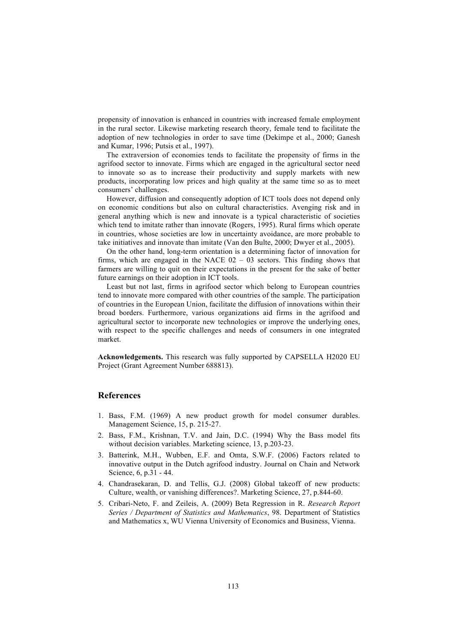propensity of innovation is enhanced in countries with increased female employment in the rural sector. Likewise marketing research theory, female tend to facilitate the adoption of new technologies in order to save time (Dekimpe et al., 2000; Ganesh and Kumar, 1996; Putsis et al., 1997).

The extraversion of economies tends to facilitate the propensity of firms in the agrifood sector to innovate. Firms which are engaged in the agricultural sector need to innovate so as to increase their productivity and supply markets with new products, incorporating low prices and high quality at the same time so as to meet consumers' challenges.

However, diffusion and consequently adoption of ICT tools does not depend only on economic conditions but also on cultural characteristics. Avenging risk and in general anything which is new and innovate is a typical characteristic of societies which tend to imitate rather than innovate (Rogers, 1995). Rural firms which operate in countries, whose societies are low in uncertainty avoidance, are more probable to take initiatives and innovate than imitate (Van den Bulte, 2000; Dwyer et al., 2005).

On the other hand, long-term orientation is a determining factor of innovation for firms, which are engaged in the NACE  $02 - 03$  sectors. This finding shows that farmers are willing to quit on their expectations in the present for the sake of better future earnings on their adoption in ICT tools.

Least but not last, firms in agrifood sector which belong to European countries tend to innovate more compared with other countries of the sample. The participation of countries in the European Union, facilitate the diffusion of innovations within their broad borders. Furthermore, various organizations aid firms in the agrifood and agricultural sector to incorporate new technologies or improve the underlying ones, with respect to the specific challenges and needs of consumers in one integrated market.

**Acknowledgements.** This research was fully supported by CAPSELLA H2020 EU Project (Grant Agreement Number 688813).

### **References**

- 1. Bass, F.M. (1969) A new product growth for model consumer durables. Management Science, 15, p. 215-27.
- 2. Bass, F.M., Krishnan, T.V. and Jain, D.C. (1994) Why the Bass model fits without decision variables. Marketing science, 13, p.203-23.
- 3. Batterink, M.H., Wubben, E.F. and Omta, S.W.F. (2006) Factors related to innovative output in the Dutch agrifood industry. Journal on Chain and Network Science, 6, p.31 - 44.
- 4. Chandrasekaran, D. and Tellis, G.J. (2008) Global takeoff of new products: Culture, wealth, or vanishing differences?. Marketing Science, 27, p.844-60.
- 5. Cribari-Neto, F. and Zeileis, A. (2009) Beta Regression in R. *Research Report Series / Department of Statistics and Mathematics*, 98. Department of Statistics and Mathematics x, WU Vienna University of Economics and Business, Vienna.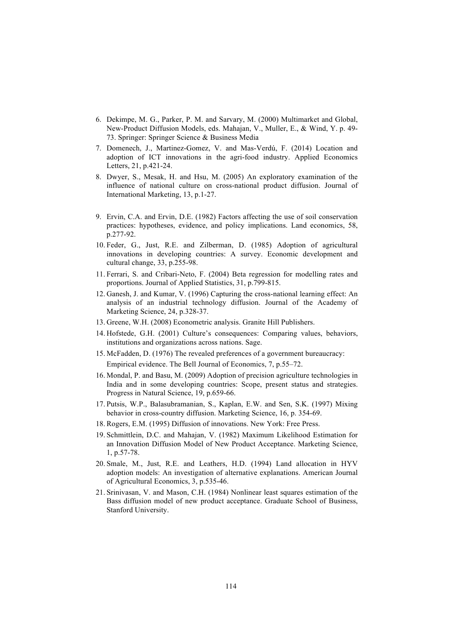- 6. Dekimpe, M. G., Parker, P. M. and Sarvary, M. (2000) Multimarket and Global, New-Product Diffusion Models, eds. Mahajan, V., Muller, E., & Wind, Y. p. 49- 73. Springer: Springer Science & Business Media
- 7. Domenech, J., Martinez-Gomez, V. and Mas-Verdú, F. (2014) Location and adoption of ICT innovations in the agri-food industry. Applied Economics Letters, 21, p.421-24.
- 8. Dwyer, S., Mesak, H. and Hsu, M. (2005) An exploratory examination of the influence of national culture on cross-national product diffusion. Journal of International Marketing, 13, p.1-27.
- 9. Ervin, C.A. and Ervin, D.E. (1982) Factors affecting the use of soil conservation practices: hypotheses, evidence, and policy implications. Land economics, 58, p.277-92.
- 10. Feder, G., Just, R.E. and Zilberman, D. (1985) Adoption of agricultural innovations in developing countries: A survey. Economic development and cultural change, 33, p.255-98.
- 11. Ferrari, S. and Cribari-Neto, F. (2004) Beta regression for modelling rates and proportions. Journal of Applied Statistics, 31, p.799-815.
- 12. Ganesh, J. and Kumar, V. (1996) Capturing the cross-national learning effect: An analysis of an industrial technology diffusion. Journal of the Academy of Marketing Science, 24, p.328-37.
- 13. Greene, W.H. (2008) Econometric analysis. Granite Hill Publishers.
- 14. Hofstede, G.H. (2001) Culture's consequences: Comparing values, behaviors, institutions and organizations across nations. Sage.
- 15. McFadden, D. (1976) The revealed preferences of a government bureaucracy: Empirical evidence. The Bell Journal of Economics, 7, p.55–72.
- 16. Mondal, P. and Basu, M. (2009) Adoption of precision agriculture technologies in India and in some developing countries: Scope, present status and strategies. Progress in Natural Science, 19, p.659-66.
- 17. Putsis, W.P., Balasubramanian, S., Kaplan, E.W. and Sen, S.K. (1997) Mixing behavior in cross-country diffusion. Marketing Science, 16, p. 354-69.
- 18. Rogers, E.M. (1995) Diffusion of innovations. New York: Free Press.
- 19. Schmittlein, D.C. and Mahajan, V. (1982) Maximum Likelihood Estimation for an Innovation Diffusion Model of New Product Acceptance. Marketing Science, 1, p.57-78.
- 20. Smale, M., Just, R.E. and Leathers, H.D. (1994) Land allocation in HYV adoption models: An investigation of alternative explanations. American Journal of Agricultural Economics, 3, p.535-46.
- 21. Srinivasan, V. and Mason, C.H. (1984) Nonlinear least squares estimation of the Bass diffusion model of new product acceptance. Graduate School of Business, Stanford University.